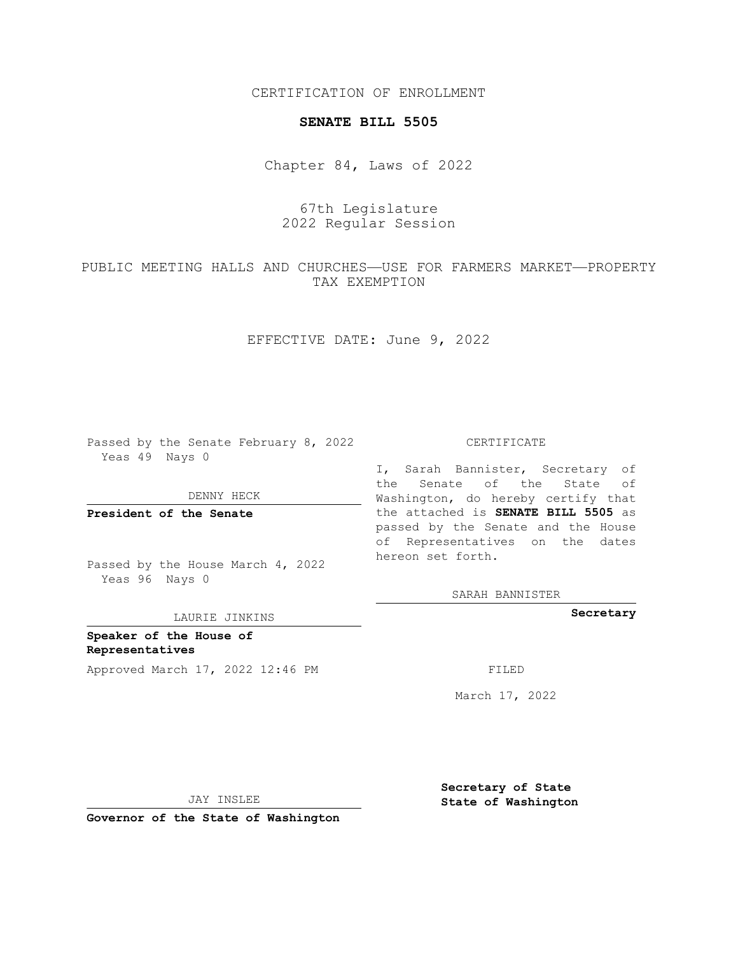CERTIFICATION OF ENROLLMENT

## **SENATE BILL 5505**

Chapter 84, Laws of 2022

67th Legislature 2022 Regular Session

PUBLIC MEETING HALLS AND CHURCHES—USE FOR FARMERS MARKET—PROPERTY TAX EXEMPTION

EFFECTIVE DATE: June 9, 2022

Passed by the Senate February 8, 2022 Yeas 49 Nays 0

DENNY HECK

**President of the Senate**

Passed by the House March 4, 2022 Yeas 96 Nays 0

LAURIE JINKINS

**Speaker of the House of Representatives** Approved March 17, 2022 12:46 PM FILED

CERTIFICATE

I, Sarah Bannister, Secretary of the Senate of the State of Washington, do hereby certify that the attached is **SENATE BILL 5505** as passed by the Senate and the House of Representatives on the dates hereon set forth.

SARAH BANNISTER

**Secretary**

March 17, 2022

JAY INSLEE

**Governor of the State of Washington**

**Secretary of State State of Washington**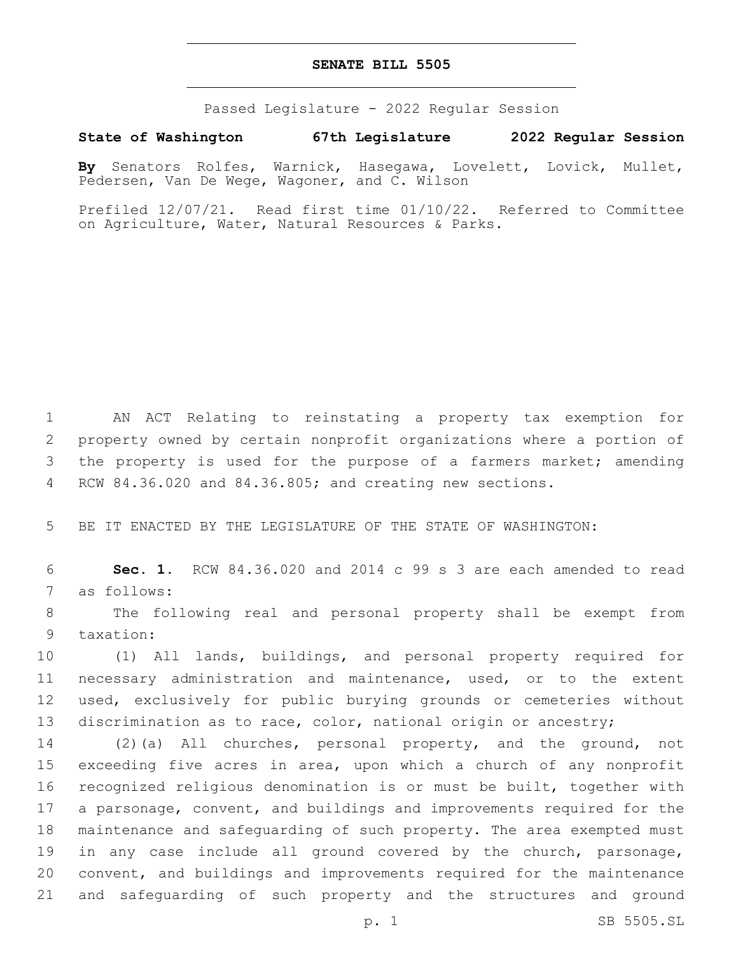## **SENATE BILL 5505**

Passed Legislature - 2022 Regular Session

**State of Washington 67th Legislature 2022 Regular Session**

**By** Senators Rolfes, Warnick, Hasegawa, Lovelett, Lovick, Mullet, Pedersen, Van De Wege, Wagoner, and C. Wilson

Prefiled 12/07/21. Read first time 01/10/22. Referred to Committee on Agriculture, Water, Natural Resources & Parks.

 AN ACT Relating to reinstating a property tax exemption for property owned by certain nonprofit organizations where a portion of 3 the property is used for the purpose of a farmers market; amending RCW 84.36.020 and 84.36.805; and creating new sections.

5 BE IT ENACTED BY THE LEGISLATURE OF THE STATE OF WASHINGTON:

6 **Sec. 1.** RCW 84.36.020 and 2014 c 99 s 3 are each amended to read 7 as follows:

8 The following real and personal property shall be exempt from 9 taxation:

 (1) All lands, buildings, and personal property required for necessary administration and maintenance, used, or to the extent used, exclusively for public burying grounds or cemeteries without discrimination as to race, color, national origin or ancestry;

 (2)(a) All churches, personal property, and the ground, not 15 exceeding five acres in area, upon which a church of any nonprofit recognized religious denomination is or must be built, together with a parsonage, convent, and buildings and improvements required for the maintenance and safeguarding of such property. The area exempted must 19 in any case include all ground covered by the church, parsonage, convent, and buildings and improvements required for the maintenance and safeguarding of such property and the structures and ground

p. 1 SB 5505.SL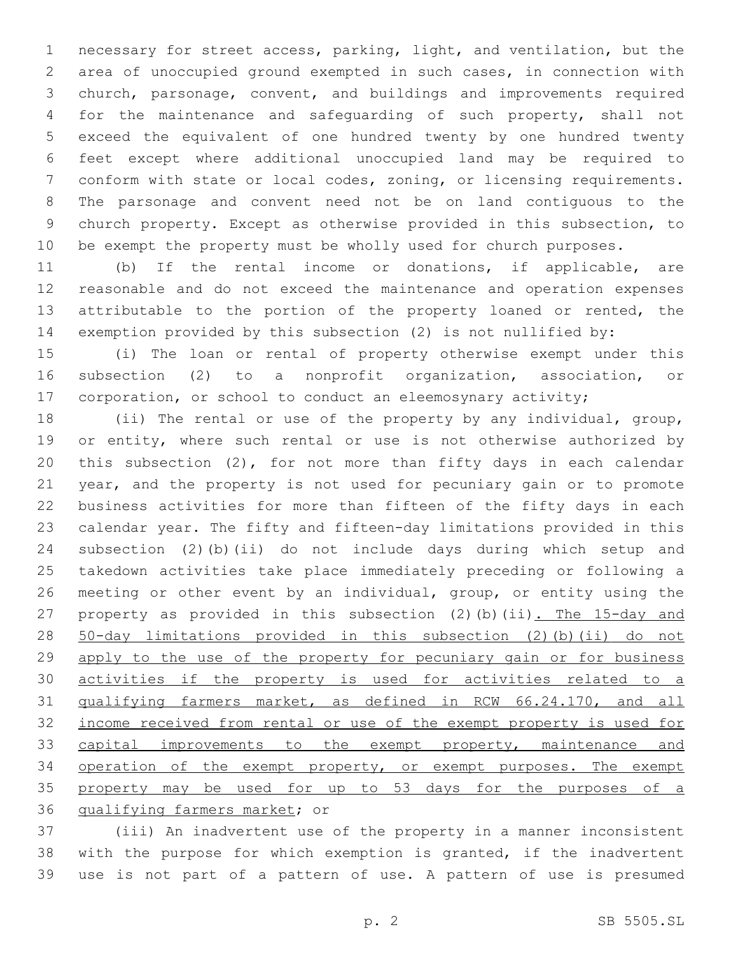necessary for street access, parking, light, and ventilation, but the area of unoccupied ground exempted in such cases, in connection with church, parsonage, convent, and buildings and improvements required for the maintenance and safeguarding of such property, shall not exceed the equivalent of one hundred twenty by one hundred twenty feet except where additional unoccupied land may be required to conform with state or local codes, zoning, or licensing requirements. The parsonage and convent need not be on land contiguous to the church property. Except as otherwise provided in this subsection, to be exempt the property must be wholly used for church purposes.

 (b) If the rental income or donations, if applicable, are reasonable and do not exceed the maintenance and operation expenses attributable to the portion of the property loaned or rented, the exemption provided by this subsection (2) is not nullified by:

 (i) The loan or rental of property otherwise exempt under this subsection (2) to a nonprofit organization, association, or 17 corporation, or school to conduct an eleemosynary activity;

 (ii) The rental or use of the property by any individual, group, 19 or entity, where such rental or use is not otherwise authorized by this subsection (2), for not more than fifty days in each calendar year, and the property is not used for pecuniary gain or to promote business activities for more than fifteen of the fifty days in each calendar year. The fifty and fifteen-day limitations provided in this subsection (2)(b)(ii) do not include days during which setup and takedown activities take place immediately preceding or following a meeting or other event by an individual, group, or entity using the 27 property as provided in this subsection (2)(b)(ii). The 15-day and 50-day limitations provided in this subsection (2)(b)(ii) do not 29 apply to the use of the property for pecuniary gain or for business activities if the property is used for activities related to a qualifying farmers market, as defined in RCW 66.24.170, and all income received from rental or use of the exempt property is used for 33 capital improvements to the exempt property, maintenance and 34 operation of the exempt property, or exempt purposes. The exempt property may be used for up to 53 days for the purposes of a 36 qualifying farmers market; or

 (iii) An inadvertent use of the property in a manner inconsistent with the purpose for which exemption is granted, if the inadvertent use is not part of a pattern of use. A pattern of use is presumed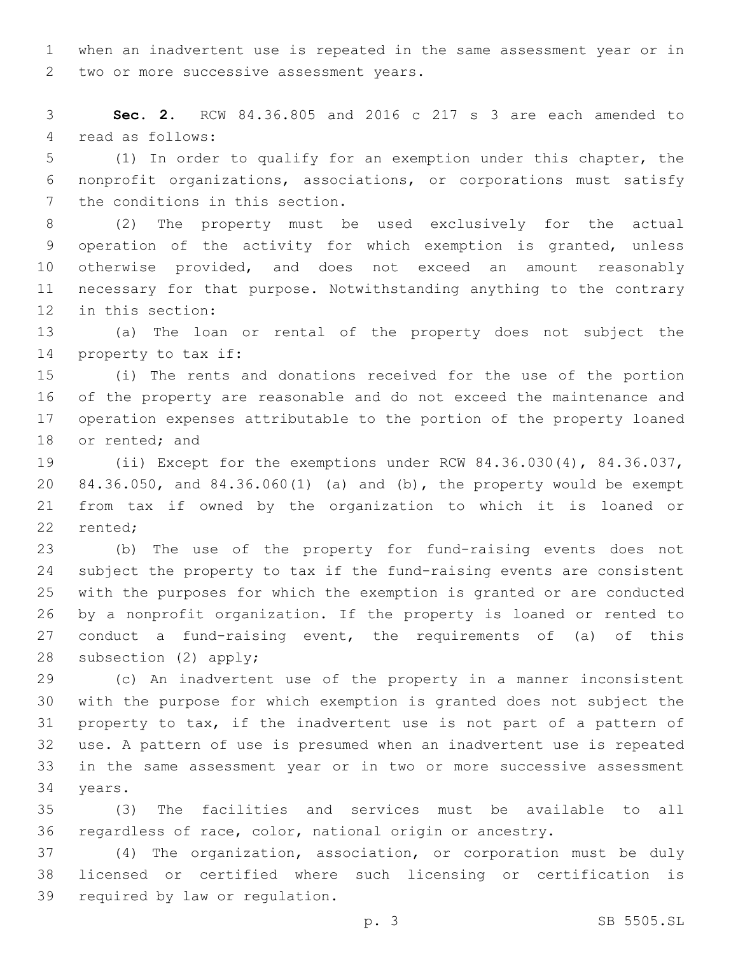when an inadvertent use is repeated in the same assessment year or in 2 two or more successive assessment years.

 **Sec. 2.** RCW 84.36.805 and 2016 c 217 s 3 are each amended to 4 read as follows:

 (1) In order to qualify for an exemption under this chapter, the nonprofit organizations, associations, or corporations must satisfy 7 the conditions in this section.

 (2) The property must be used exclusively for the actual operation of the activity for which exemption is granted, unless otherwise provided, and does not exceed an amount reasonably necessary for that purpose. Notwithstanding anything to the contrary 12 in this section:

 (a) The loan or rental of the property does not subject the 14 property to tax if:

 (i) The rents and donations received for the use of the portion of the property are reasonable and do not exceed the maintenance and operation expenses attributable to the portion of the property loaned 18 or rented; and

 (ii) Except for the exemptions under RCW 84.36.030(4), 84.36.037, 84.36.050, and 84.36.060(1) (a) and (b), the property would be exempt from tax if owned by the organization to which it is loaned or 22 rented;

 (b) The use of the property for fund-raising events does not subject the property to tax if the fund-raising events are consistent with the purposes for which the exemption is granted or are conducted by a nonprofit organization. If the property is loaned or rented to conduct a fund-raising event, the requirements of (a) of this 28 subsection  $(2)$  apply;

 (c) An inadvertent use of the property in a manner inconsistent with the purpose for which exemption is granted does not subject the property to tax, if the inadvertent use is not part of a pattern of use. A pattern of use is presumed when an inadvertent use is repeated in the same assessment year or in two or more successive assessment 34 years.

 (3) The facilities and services must be available to all regardless of race, color, national origin or ancestry.

 (4) The organization, association, or corporation must be duly licensed or certified where such licensing or certification is 39 required by law or requlation.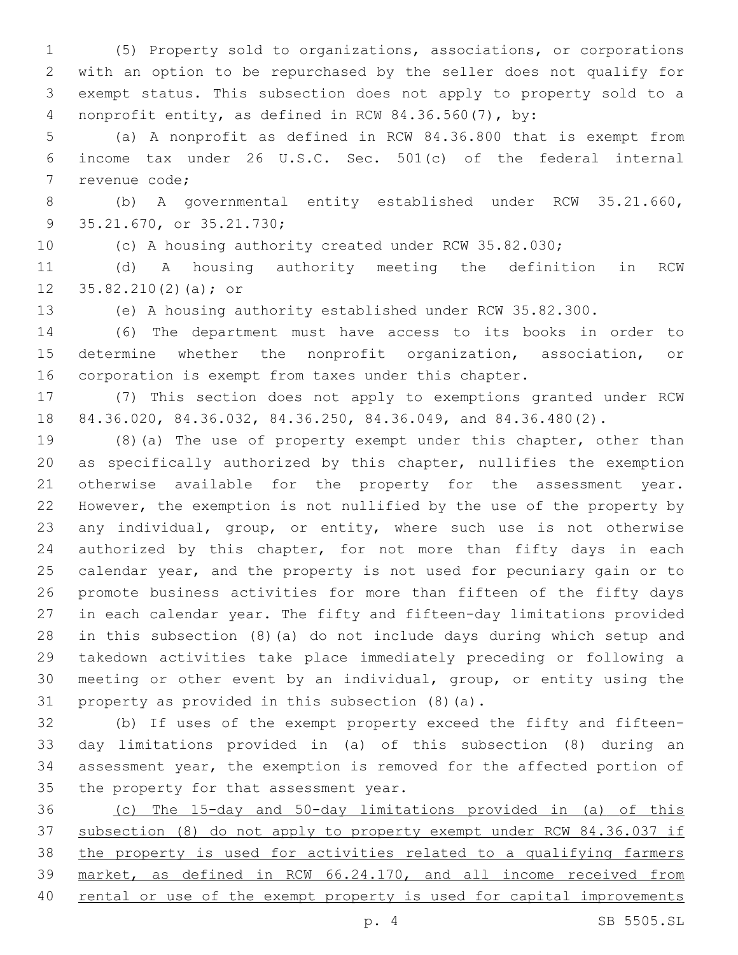(5) Property sold to organizations, associations, or corporations with an option to be repurchased by the seller does not qualify for exempt status. This subsection does not apply to property sold to a nonprofit entity, as defined in RCW 84.36.560(7), by:

 (a) A nonprofit as defined in RCW 84.36.800 that is exempt from income tax under 26 U.S.C. Sec. 501(c) of the federal internal 7 revenue code;

 (b) A governmental entity established under RCW 35.21.660, 9 35.21.670, or 35.21.730;

(c) A housing authority created under RCW 35.82.030;

 (d) A housing authority meeting the definition in RCW 12  $35.82.210(2)(a);$  or

(e) A housing authority established under RCW 35.82.300.

 (6) The department must have access to its books in order to determine whether the nonprofit organization, association, or corporation is exempt from taxes under this chapter.

 (7) This section does not apply to exemptions granted under RCW 84.36.020, 84.36.032, 84.36.250, 84.36.049, and 84.36.480(2).

 (8)(a) The use of property exempt under this chapter, other than as specifically authorized by this chapter, nullifies the exemption otherwise available for the property for the assessment year. However, the exemption is not nullified by the use of the property by any individual, group, or entity, where such use is not otherwise 24 authorized by this chapter, for not more than fifty days in each calendar year, and the property is not used for pecuniary gain or to promote business activities for more than fifteen of the fifty days in each calendar year. The fifty and fifteen-day limitations provided in this subsection (8)(a) do not include days during which setup and takedown activities take place immediately preceding or following a meeting or other event by an individual, group, or entity using the 31 property as provided in this subsection  $(8)(a)$ .

 (b) If uses of the exempt property exceed the fifty and fifteen- day limitations provided in (a) of this subsection (8) during an assessment year, the exemption is removed for the affected portion of 35 the property for that assessment year.

 (c) The 15-day and 50-day limitations provided in (a) of this subsection (8) do not apply to property exempt under RCW 84.36.037 if the property is used for activities related to a qualifying farmers market, as defined in RCW 66.24.170, and all income received from rental or use of the exempt property is used for capital improvements